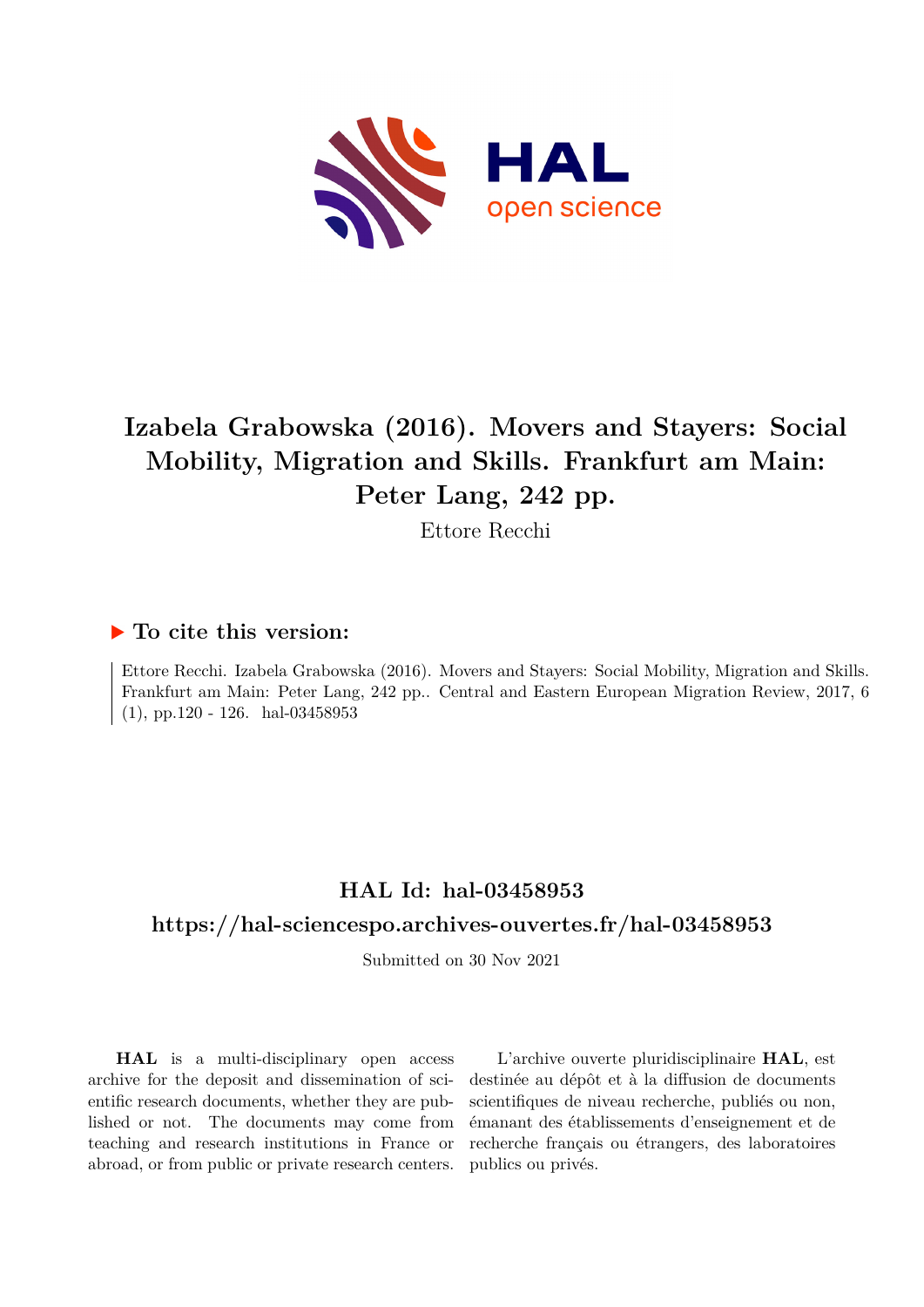

# **Izabela Grabowska (2016). Movers and Stayers: Social Mobility, Migration and Skills. Frankfurt am Main: Peter Lang, 242 pp.**

Ettore Recchi

## **To cite this version:**

Ettore Recchi. Izabela Grabowska (2016). Movers and Stayers: Social Mobility, Migration and Skills. Frankfurt am Main: Peter Lang, 242 pp.. Central and Eastern European Migration Review, 2017, 6  $(1)$ , pp.120 - 126. hal-03458953

## **HAL Id: hal-03458953**

## **<https://hal-sciencespo.archives-ouvertes.fr/hal-03458953>**

Submitted on 30 Nov 2021

**HAL** is a multi-disciplinary open access archive for the deposit and dissemination of scientific research documents, whether they are published or not. The documents may come from teaching and research institutions in France or abroad, or from public or private research centers.

L'archive ouverte pluridisciplinaire **HAL**, est destinée au dépôt et à la diffusion de documents scientifiques de niveau recherche, publiés ou non, émanant des établissements d'enseignement et de recherche français ou étrangers, des laboratoires publics ou privés.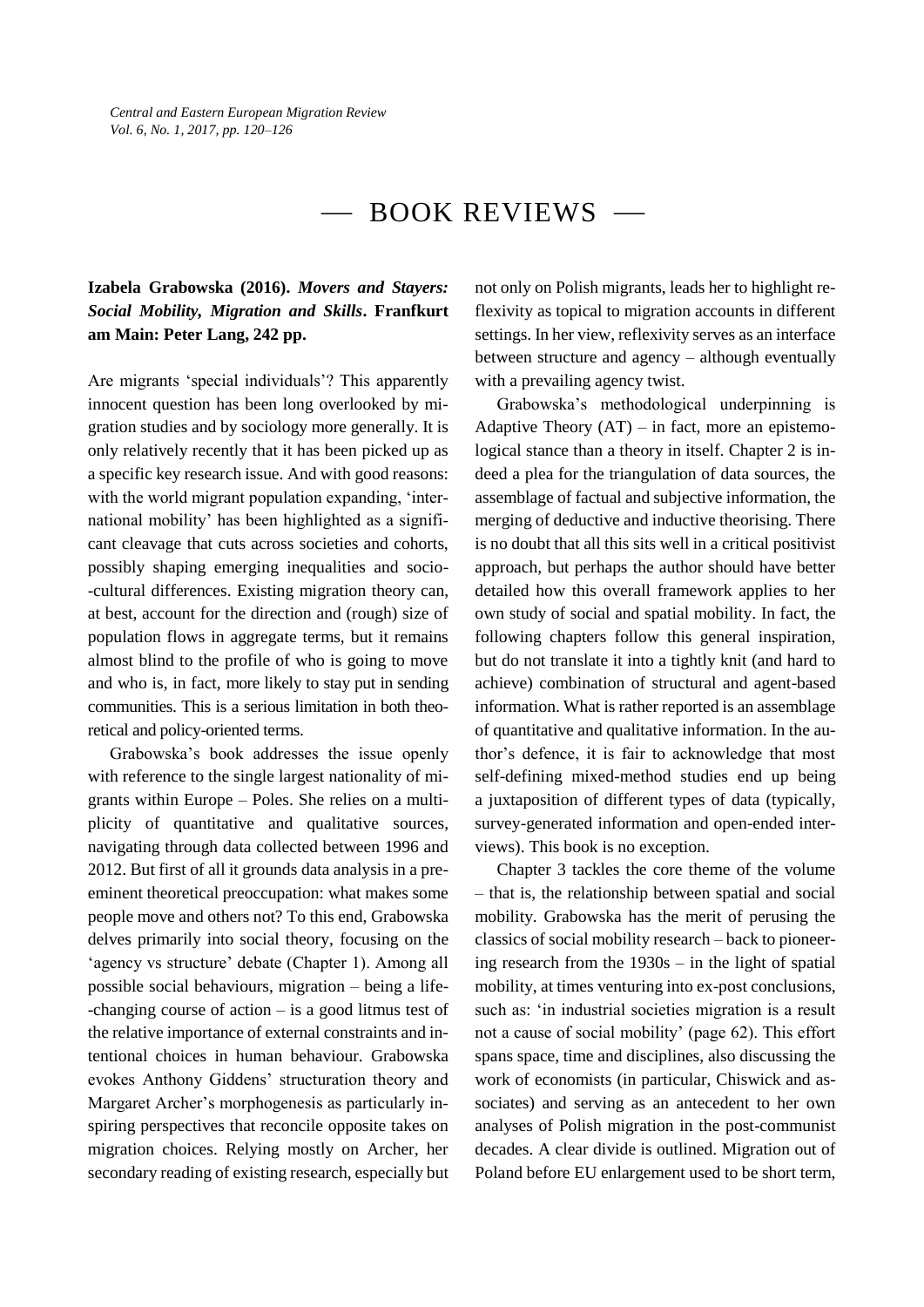## BOOK REVIEWS

#### **Izabela Grabowska (2016).** *Movers and Stayers: Social Mobility, Migration and Skills***. Franfkurt am Main: Peter Lang, 242 pp.**

Are migrants 'special individuals'? This apparently innocent question has been long overlooked by migration studies and by sociology more generally. It is only relatively recently that it has been picked up as a specific key research issue. And with good reasons: with the world migrant population expanding, 'international mobility' has been highlighted as a significant cleavage that cuts across societies and cohorts, possibly shaping emerging inequalities and socio- -cultural differences. Existing migration theory can, at best, account for the direction and (rough) size of population flows in aggregate terms, but it remains almost blind to the profile of who is going to move and who is, in fact, more likely to stay put in sending communities. This is a serious limitation in both theoretical and policy-oriented terms.

Grabowska's book addresses the issue openly with reference to the single largest nationality of migrants within Europe – Poles. She relies on a multiplicity of quantitative and qualitative sources, navigating through data collected between 1996 and 2012. But first of all it grounds data analysis in a preeminent theoretical preoccupation: what makes some people move and others not? To this end, Grabowska delves primarily into social theory, focusing on the 'agency vs structure' debate (Chapter 1). Among all possible social behaviours, migration – being a life- -changing course of action – is a good litmus test of the relative importance of external constraints and intentional choices in human behaviour. Grabowska evokes Anthony Giddens' structuration theory and Margaret Archer's morphogenesis as particularly inspiring perspectives that reconcile opposite takes on migration choices. Relying mostly on Archer, her secondary reading of existing research, especially but not only on Polish migrants, leads her to highlight reflexivity as topical to migration accounts in different settings. In her view, reflexivity serves as an interface between structure and agency – although eventually with a prevailing agency twist.

Grabowska's methodological underpinning is Adaptive Theory  $(AT)$  – in fact, more an epistemological stance than a theory in itself. Chapter 2 is indeed a plea for the triangulation of data sources, the assemblage of factual and subjective information, the merging of deductive and inductive theorising. There is no doubt that all this sits well in a critical positivist approach, but perhaps the author should have better detailed how this overall framework applies to her own study of social and spatial mobility. In fact, the following chapters follow this general inspiration, but do not translate it into a tightly knit (and hard to achieve) combination of structural and agent-based information. What is rather reported is an assemblage of quantitative and qualitative information. In the author's defence, it is fair to acknowledge that most self-defining mixed-method studies end up being a juxtaposition of different types of data (typically, survey-generated information and open-ended interviews). This book is no exception.

Chapter 3 tackles the core theme of the volume – that is, the relationship between spatial and social mobility. Grabowska has the merit of perusing the classics of social mobility research – back to pioneering research from the 1930s – in the light of spatial mobility, at times venturing into ex-post conclusions, such as: 'in industrial societies migration is a result not a cause of social mobility' (page 62). This effort spans space, time and disciplines, also discussing the work of economists (in particular, Chiswick and associates) and serving as an antecedent to her own analyses of Polish migration in the post-communist decades. A clear divide is outlined. Migration out of Poland before EU enlargement used to be short term,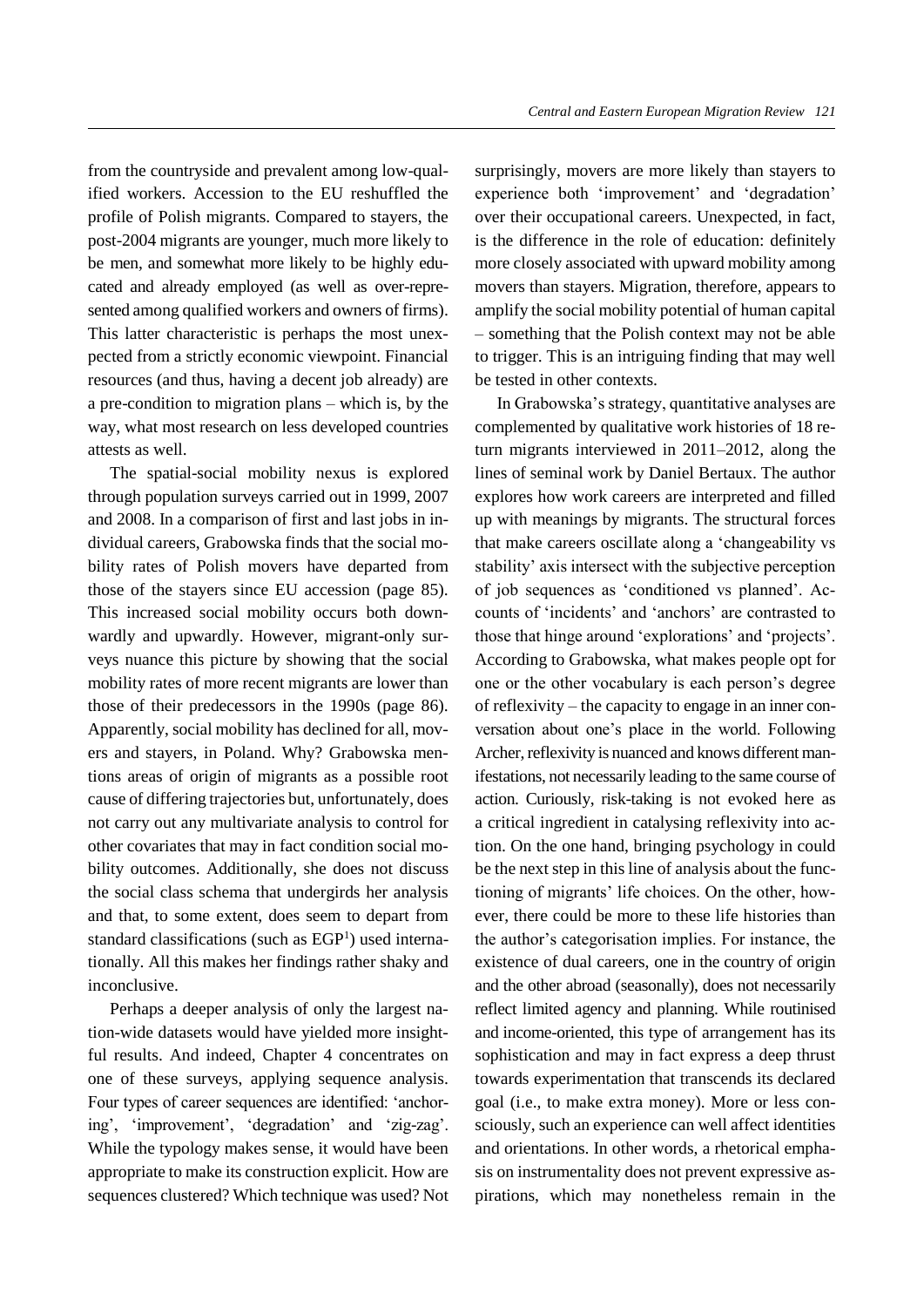from the countryside and prevalent among low-qualified workers. Accession to the EU reshuffled the profile of Polish migrants. Compared to stayers, the post-2004 migrants are younger, much more likely to be men, and somewhat more likely to be highly educated and already employed (as well as over-represented among qualified workers and owners of firms). This latter characteristic is perhaps the most unexpected from a strictly economic viewpoint. Financial resources (and thus, having a decent job already) are a pre-condition to migration plans – which is, by the way, what most research on less developed countries attests as well.

The spatial-social mobility nexus is explored through population surveys carried out in 1999, 2007 and 2008. In a comparison of first and last jobs in individual careers, Grabowska finds that the social mobility rates of Polish movers have departed from those of the stayers since EU accession (page 85). This increased social mobility occurs both downwardly and upwardly. However, migrant-only surveys nuance this picture by showing that the social mobility rates of more recent migrants are lower than those of their predecessors in the 1990s (page 86). Apparently, social mobility has declined for all, movers and stayers, in Poland. Why? Grabowska mentions areas of origin of migrants as a possible root cause of differing trajectories but, unfortunately, does not carry out any multivariate analysis to control for other covariates that may in fact condition social mobility outcomes. Additionally, she does not discuss the social class schema that undergirds her analysis and that, to some extent, does seem to depart from standard classifications (such as EGP<sup>1</sup>) used internationally. All this makes her findings rather shaky and inconclusive.

Perhaps a deeper analysis of only the largest nation-wide datasets would have yielded more insightful results. And indeed, Chapter 4 concentrates on one of these surveys, applying sequence analysis. Four types of career sequences are identified: 'anchoring', 'improvement', 'degradation' and 'zig-zag'. While the typology makes sense, it would have been appropriate to make its construction explicit. How are sequences clustered? Which technique was used? Not surprisingly, movers are more likely than stayers to experience both 'improvement' and 'degradation' over their occupational careers. Unexpected, in fact, is the difference in the role of education: definitely more closely associated with upward mobility among movers than stayers. Migration, therefore, appears to amplify the social mobility potential of human capital – something that the Polish context may not be able to trigger. This is an intriguing finding that may well be tested in other contexts.

In Grabowska's strategy, quantitative analyses are complemented by qualitative work histories of 18 return migrants interviewed in 2011–2012, along the lines of seminal work by Daniel Bertaux. The author explores how work careers are interpreted and filled up with meanings by migrants. The structural forces that make careers oscillate along a 'changeability vs stability' axis intersect with the subjective perception of job sequences as 'conditioned vs planned'. Accounts of 'incidents' and 'anchors' are contrasted to those that hinge around 'explorations' and 'projects'. According to Grabowska, what makes people opt for one or the other vocabulary is each person's degree of reflexivity – the capacity to engage in an inner conversation about one's place in the world. Following Archer, reflexivity is nuanced and knows different manifestations, not necessarily leading to the same course of action. Curiously, risk-taking is not evoked here as a critical ingredient in catalysing reflexivity into action. On the one hand, bringing psychology in could be the next step in this line of analysis about the functioning of migrants' life choices. On the other, however, there could be more to these life histories than the author's categorisation implies. For instance, the existence of dual careers, one in the country of origin and the other abroad (seasonally), does not necessarily reflect limited agency and planning. While routinised and income-oriented, this type of arrangement has its sophistication and may in fact express a deep thrust towards experimentation that transcends its declared goal (i.e., to make extra money). More or less consciously, such an experience can well affect identities and orientations. In other words, a rhetorical emphasis on instrumentality does not prevent expressive aspirations, which may nonetheless remain in the